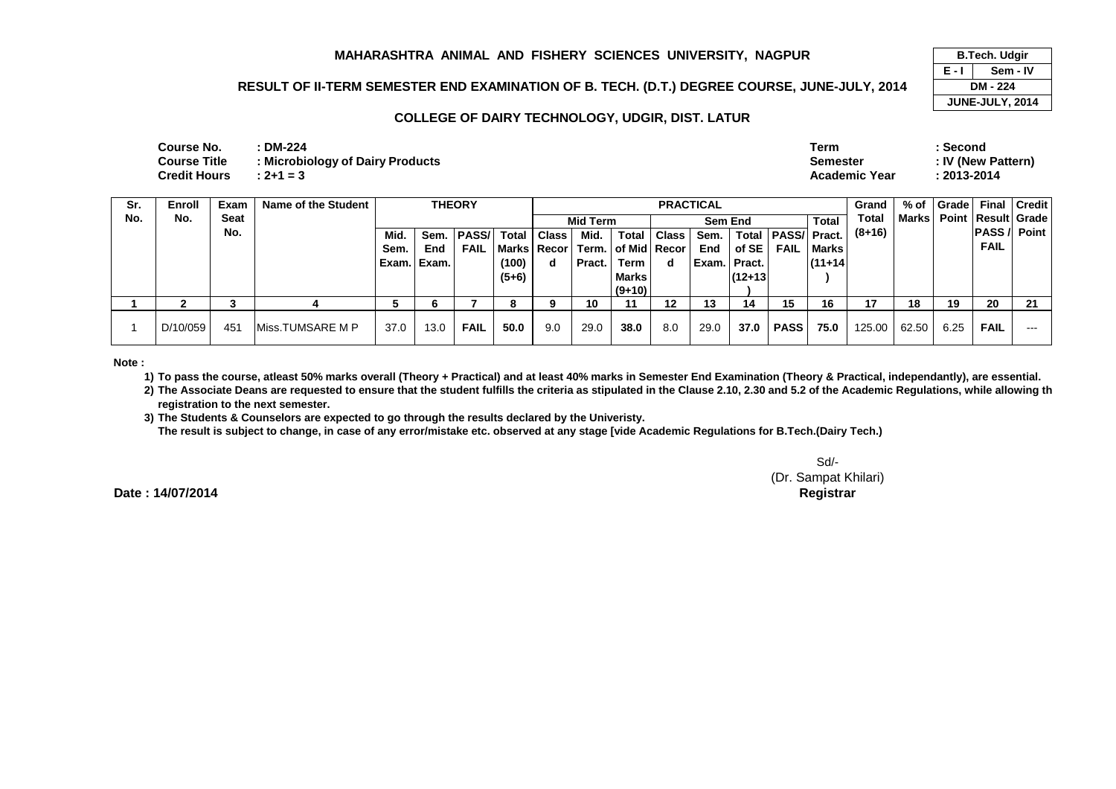### **RESULT OF II-TERM SEMESTER END EXAMINATION OF B. TECH. (D.T.) DEGREE COURSE, JUNE-JULY, 2014**

#### **COLLEGE OF DAIRY TECHNOLOGY, UDGIR, DIST. LATUR**

| Course No.          | <b>DM-224</b>                    | Term                 | Second             |
|---------------------|----------------------------------|----------------------|--------------------|
| <b>Course Title</b> | : Microbiology of Dairy Products | <b>Semester</b>      | : IV (New Pattern) |
| <b>Credit Hours</b> | $: 2 + 1 = 3$                    | <b>Academic Year</b> | $: 2013 - 2014$    |
|                     |                                  |                      |                    |

| Sr. | <b>Enroll</b> | Exam | Name of the Student |       | <b>THEORY</b> |              |         |              |          |                                        |             | <b>PRACTICAL</b> |              |                     |              | Grand    | % of  | <b>Grade</b> | <b>Final</b>                   | <b>Credit</b> |
|-----|---------------|------|---------------------|-------|---------------|--------------|---------|--------------|----------|----------------------------------------|-------------|------------------|--------------|---------------------|--------------|----------|-------|--------------|--------------------------------|---------------|
| No. | No.           | Seat |                     |       |               |              |         |              | Mid Term |                                        |             |                  | Sem End      |                     | <b>Total</b> | Total    |       |              | Marks   Point   Result   Grade |               |
|     |               | No.  |                     | Mid.  | Sem.          | <b>PASS/</b> | Total   | <b>Class</b> | Mid.     |                                        | Total Class | Sem.             | Total        | <b>PASS/ Pract.</b> |              | $(8+16)$ |       |              | <b>PASS</b> / Point            |               |
|     |               |      |                     | Sem.  | End           | <b>FAIL</b>  |         |              |          | Marks   Recor   Term.   of Mid   Recor |             | End              | of SE        | <b>FAIL</b>         | Marks        |          |       |              | <b>FAIL</b>                    |               |
|     |               |      |                     | Exam. | Exam.         |              | (100)   | d            | Pract.   | Term                                   | d           |                  | Exam. Pract. |                     | $(11+14)$    |          |       |              |                                |               |
|     |               |      |                     |       |               |              | $(5+6)$ |              |          | <b>Marks</b>                           |             |                  | (12+13       |                     |              |          |       |              |                                |               |
|     |               |      |                     |       |               |              |         |              |          | $(9+10)$                               |             |                  |              |                     |              |          |       |              |                                |               |
|     |               |      |                     |       | 6.            |              |         |              | 10       |                                        | 12          | 13               | 14           | 15                  | 16           | 17       | 18    | 19           | 20                             | -21           |
|     | D/10/059      | 451  | Miss.TUMSARE M P    | 37.0  | 13.0          | <b>FAIL</b>  | 50.0    | 9.0          | 29.0     | 38.0                                   | 8.0         | 29.0             | 37.0         | <b>PASS</b>         | 75.0         | 125.00   | 62.50 | 6.25         | <b>FAIL</b>                    | $---$         |

**Note :**

**1) To pass the course, atleast 50% marks overall (Theory + Practical) and at least 40% marks in Semester End Examination (Theory & Practical, independantly), are essential.** 

**2) The Associate Deans are requested to ensure that the student fulfills the criteria as stipulated in the Clause 2.10, 2.30 and 5.2 of the Academic Regulations, while allowing the registration to the next semester.**

**3) The Students & Counselors are expected to go through the results declared by the Univeristy.** 

**The result is subject to change, in case of any error/mistake etc. observed at any stage [vide Academic Regulations for B.Tech.(Dairy Tech.)**

Sd/- (Dr. Sampat Khilari)**Controller of Examinations Registrar**

**Date : 14/07/2014**

**E - I B.Tech. Udgir Sem - IV DM - 224 JUNE-JULY, 2014**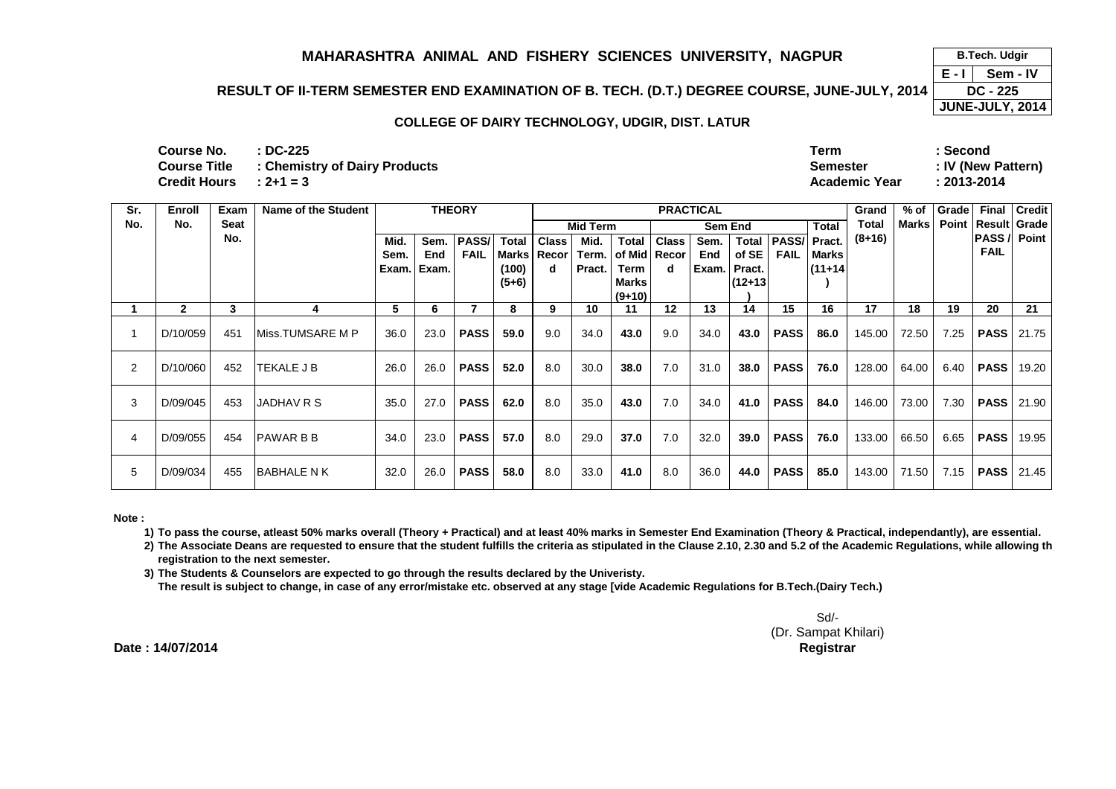### **RESULT OF II-TERM SEMESTER END EXAMINATION OF B. TECH. (D.T.) DEGREE COURSE, JUNE-JULY, 2014**

 **DC - 225 JUNE-JULY, 2014**

#### **COLLEGE OF DAIRY TECHNOLOGY, UDGIR, DIST. LATUR**

| Course No.             | $\cdot$ DC-225                                    | Term                 | Second             |
|------------------------|---------------------------------------------------|----------------------|--------------------|
|                        | <b>Course Title : Chemistry of Dairy Products</b> | <b>Semester</b>      | : IV (New Pattern) |
| Credit Hours : $2+1=3$ |                                                   | <b>Academic Year</b> | $: 2013 - 2014$    |

| Sr. | Enroll       | Exam | Name of the Student |       |       | <b>THEORY</b> |              |              |          |                        |              | <b>PRACTICAL</b> |              |             |              | Grand    | % of  | Grade | Final         | Credit                 |
|-----|--------------|------|---------------------|-------|-------|---------------|--------------|--------------|----------|------------------------|--------------|------------------|--------------|-------------|--------------|----------|-------|-------|---------------|------------------------|
| No. | No.          | Seat |                     |       |       |               |              |              | Mid Term |                        |              |                  | Sem End      |             | <b>Total</b> | Total    | Marks |       |               | Point   Result   Grade |
|     |              | No.  |                     | Mid.  | Sem.  | PASS/         | <b>Total</b> | <b>Class</b> | Mid.     | <b>Total</b>           | <b>Class</b> | Sem.             | <b>Total</b> | PASS/       | Pract.       | $(8+16)$ |       |       | <b>PASS</b> / | Point                  |
|     |              |      |                     | Sem.  | End   | <b>FAIL</b>   | Marks        | Recor        |          | Term.   of Mid   Recor |              | End              | of SE        | <b>FAIL</b> | <b>Marks</b> |          |       |       | <b>FAIL</b>   |                        |
|     |              |      |                     | Exam. | Exam. |               | (100)        | d            | Pract.   | Term                   | d            | Exam.            | Pract.       |             | $(11+14)$    |          |       |       |               |                        |
|     |              |      |                     |       |       |               | $(5+6)$      |              |          | <b>Marks</b>           |              |                  | $(12+13)$    |             |              |          |       |       |               |                        |
|     |              |      |                     |       |       |               |              |              |          | $(9+10)$               |              |                  |              |             |              |          |       |       |               |                        |
|     | $\mathbf{2}$ | 3    |                     | 5     | 6.    |               | 8            | 9            | 10       | 11                     | 12           | 13               | 14           | 15          | 16           | 17       | 18    | 19    | 20            | 21                     |
|     | D/10/059     | 451  | IMiss.TUMSARE M P   | 36.0  | 23.0  | <b>PASS</b>   | 59.0         | 9.0          | 34.0     | 43.0                   | 9.0          | 34.0             | 43.0         | <b>PASS</b> | 86.0         | 145.00   | 72.50 | 7.25  | <b>PASS</b>   | 21.75                  |
| 2   | D/10/060     | 452  | <b>ITEKALE J B</b>  | 26.0  | 26.0  | <b>PASS</b>   | 52.0         | 8.0          | 30.0     | 38.0                   | 7.0          | 31.0             | 38.0         | <b>PASS</b> | 76.0         | 128.00   | 64.00 | 6.40  | <b>PASS</b>   | 19.20                  |
| 3   | D/09/045     | 453  | <b>JADHAV R S</b>   | 35.0  | 27.0  | <b>PASS</b>   | 62.0         | 8.0          | 35.0     | 43.0                   | 7.0          | 34.0             | 41.0         | <b>PASS</b> | 84.0         | 146.00   | 73.00 | 7.30  | <b>PASS</b>   | 21.90                  |
| 4   | D/09/055     | 454  | <b>PAWAR B B</b>    | 34.0  | 23.0  | <b>PASS</b>   | 57.0         | 8.0          | 29.0     | 37.0                   | 7.0          | 32.0             | 39.0         | <b>PASS</b> | 76.0         | 133.00   | 66.50 | 6.65  | <b>PASS</b>   | 19.95                  |
| 5   | D/09/034     | 455  | <b>BABHALE N K</b>  | 32.0  | 26.0  | <b>PASS</b>   | 58.0         | 8.0          | 33.0     | 41.0                   | 8.0          | 36.0             | 44.0         | <b>PASS</b> | 85.0         | 143.00   | 71.50 | 7.15  | <b>PASS</b>   | 21.45                  |

**Note :**

**1) To pass the course, atleast 50% marks overall (Theory + Practical) and at least 40% marks in Semester End Examination (Theory & Practical, independantly), are essential.** 

**2) The Associate Deans are requested to ensure that the student fulfills the criteria as stipulated in the Clause 2.10, 2.30 and 5.2 of the Academic Regulations, while allowing the registration to the next semester.**

 **3) The Students & Counselors are expected to go through the results declared by the Univeristy. The result is subject to change, in case of any error/mistake etc. observed at any stage [vide Academic Regulations for B.Tech.(Dairy Tech.)**

> Sd/- (Dr. Sampat Khilari)**Registrar**

**Date : 14/07/2014Controller of Examinations** **E - I B.Tech. Udgir Sem - IV**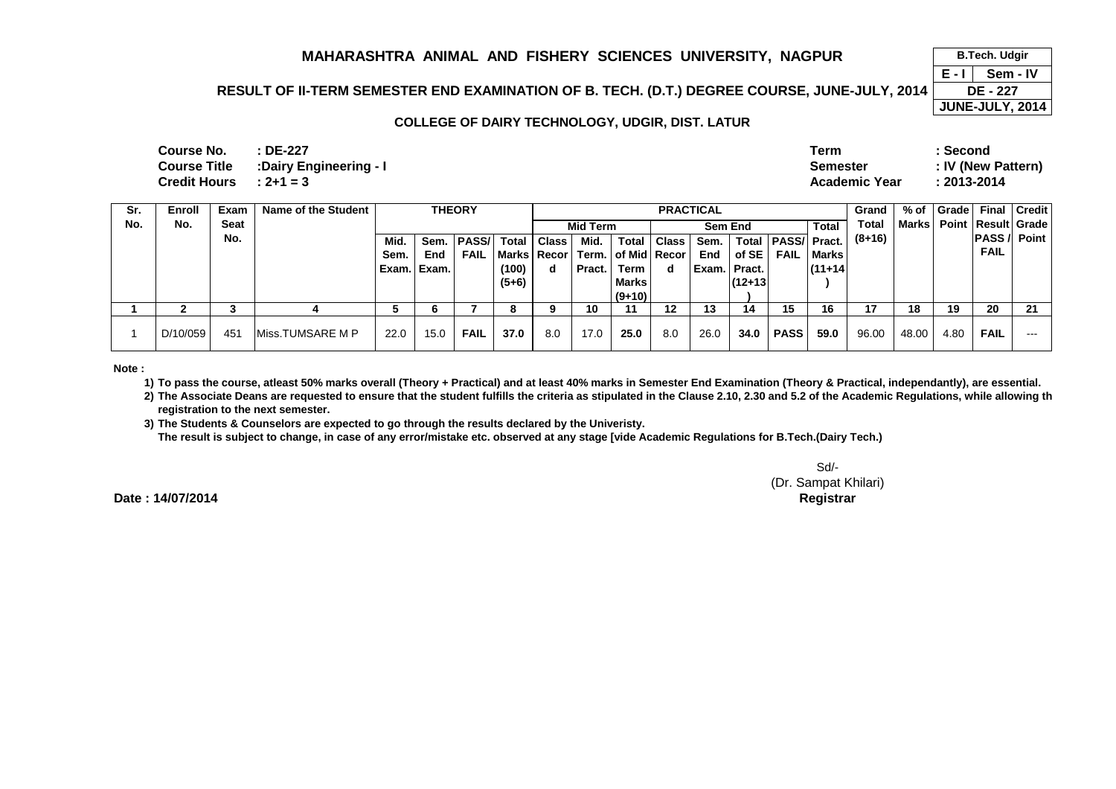### **RESULT OF II-TERM SEMESTER END EXAMINATION OF B. TECH. (D.T.) DEGREE COURSE, JUNE-JULY, 2014**

 $4 \overline{DE - 227}$ **JUNE-JULY, 2014**

 **B.Tech. Udgir Sem - IV**

**E - I** 

#### **COLLEGE OF DAIRY TECHNOLOGY, UDGIR, DIST. LATUR**

| <b>Course No.</b>          | : DE-227               | Term                 | Second             |
|----------------------------|------------------------|----------------------|--------------------|
| Course Title               | :Dairy Engineering - I | Semester             | : IV (New Pattern) |
| $Credit$ Hours $: 2+1 = 3$ |                        | <b>Academic Year</b> | : 2013-2014        |

| Sr. | Enroll   | Exam | Name of the Student      |       |       |              | <b>THEORY</b> |               |                 |                    |       | <b>PRACTICAL</b> |           |              |              | Grand    | % of         | Grade |             | <b>Final Credit</b>    |
|-----|----------|------|--------------------------|-------|-------|--------------|---------------|---------------|-----------------|--------------------|-------|------------------|-----------|--------------|--------------|----------|--------------|-------|-------------|------------------------|
| No. | No.      | Seat |                          |       |       |              |               |               | <b>Mid Term</b> |                    |       | Sem End          |           |              | Total        | Total    | <b>Marks</b> |       |             | Point   Result   Grade |
|     |          | No.  |                          | Mid.  | Sem.  | <b>PASS/</b> |               | Total   Class | Mid.            | <b>Total</b>       | Class | Sem.             | Total     | <b>PASS/</b> | Pract.       | $(8+16)$ |              |       | <b>PASS</b> | Point                  |
|     |          |      |                          | Sem.  | End   | <b>FAIL</b>  | Marks   Recor |               |                 | Term. of Mid Recor |       | End              | of SE     | <b>FAIL</b>  | <b>Marks</b> |          |              |       | <b>FAIL</b> |                        |
|     |          |      |                          | Exam. | Exam. |              | (100)         | d             | Pract.          | <b>Term</b>        | d     | Exam.            | Pract.    |              | $(11+14)$    |          |              |       |             |                        |
|     |          |      |                          |       |       |              | $(5+6)$       |               |                 | Marks              |       |                  | $(12+13)$ |              |              |          |              |       |             |                        |
|     |          |      |                          |       |       |              |               |               |                 | $(9+10)$           |       |                  |           |              |              |          |              |       |             |                        |
|     |          |      |                          | C     |       |              | О             | 9             | 10              |                    | 12    | 13               | 14        | 15           | 16           | 17       | 18           | 19    | 20          | 21                     |
|     | D/10/059 | 45'  | <b>IMiss.TUMSARE M P</b> | 22.0  | 15.0  | <b>FAIL</b>  | 37.0          | 8.0           | 17.0            | 25.0               | 8.0   | 26.0             | 34.0      | <b>PASS</b>  | 59.0         | 96.00    | 48.00        | 4.80  | <b>FAIL</b> | ---                    |

**Note :**

**1) To pass the course, atleast 50% marks overall (Theory + Practical) and at least 40% marks in Semester End Examination (Theory & Practical, independantly), are essential.** 

**2) The Associate Deans are requested to ensure that the student fulfills the criteria as stipulated in the Clause 2.10, 2.30 and 5.2 of the Academic Regulations, while allowing the registration to the next semester.**

 **3) The Students & Counselors are expected to go through the results declared by the Univeristy. The result is subject to change, in case of any error/mistake etc. observed at any stage [vide Academic Regulations for B.Tech.(Dairy Tech.)**

Sd/- (Dr. Sampat Khilari)**Controller of Examinations Registrar**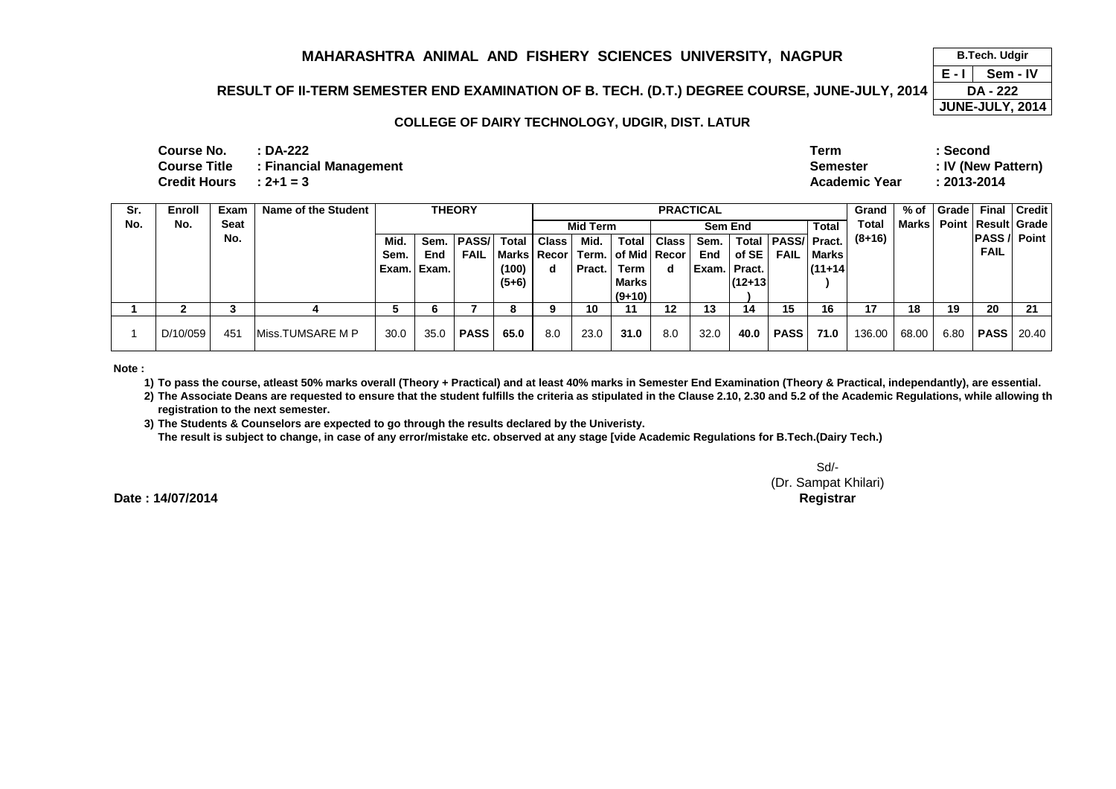# **RESULT OF II-TERM SEMESTER END EXAMINATION OF B. TECH. (D.T.) DEGREE COURSE, JUNE-JULY, 2014**

 $4 \overline{DA - 222}$ **JUNE-JULY, 2014**

 **B.Tech. Udgir Sem - IV**

**E - I** 

### **COLLEGE OF DAIRY TECHNOLOGY, UDGIR, DIST. LATUR**

| <b>Course No.</b>        | : DA-222                                   | Term                 | : Second           |
|--------------------------|--------------------------------------------|----------------------|--------------------|
|                          | <b>Course Title : Financial Management</b> | <b>Semester</b>      | : IV (New Pattern) |
| Credit Hours $: 2+1 = 3$ |                                            | <b>Academic Year</b> | $: 2013 - 2014$    |

| Sr. | Enroll   | Exam | <b>Name of the Student</b> |       |            | <b>THEORY</b> |         |              |                 |                                        |               | <b>PRACTICAL</b> |              |                     |              | Grand    | $%$ of       | l Grade l |             | <b>Final Credit</b> |
|-----|----------|------|----------------------------|-------|------------|---------------|---------|--------------|-----------------|----------------------------------------|---------------|------------------|--------------|---------------------|--------------|----------|--------------|-----------|-------------|---------------------|
| No. | No.      | Seat |                            |       |            |               |         |              | <b>Mid Term</b> |                                        |               |                  | Sem End      |                     | <b>Total</b> | Total    | <b>Marks</b> |           |             | Point Result Grade  |
|     |          | No.  |                            | Mid.  | Sem.       | <b>PASS/</b>  | Total   | <b>Class</b> | Mid.            |                                        | Total   Class | Sem.             | Total        | <b>PASS/ Pract.</b> |              | $(8+16)$ |              |           |             | <b>PASS</b> / Point |
|     |          |      |                            | Sem.  | <b>End</b> | <b>FAIL</b>   |         |              |                 | Marks   Recor   Term.   of Mid   Recor |               | End              | of SE        | FAIL                | <b>Marks</b> |          |              |           | <b>FAIL</b> |                     |
|     |          |      |                            | Exam. | Exam.      |               | (100)   | d            | Pract.          | Term                                   | d             |                  | Exam. Pract. |                     | $(11+14)$    |          |              |           |             |                     |
|     |          |      |                            |       |            |               | $(5+6)$ |              |                 | <b>Marks</b>                           |               |                  | $(12+13)$    |                     |              |          |              |           |             |                     |
|     |          |      |                            |       |            |               |         |              |                 | $(9+10)$                               |               |                  |              |                     |              |          |              |           |             |                     |
|     |          |      |                            | G     | 6          |               |         |              | 10              | 11                                     | 12            | 13               | 14           | 15                  | 16           | 17       | 18           | 19        | 20          | 21                  |
|     | D/10/059 | 451  | <b>IMiss.TUMSARE MP</b>    | 30.0  | 35.0       | <b>PASS</b>   | 65.0    | 8.0          | 23.0            | 31.0                                   | 8.0           | 32.0             | 40.0         | <b>PASS</b>         | 71.0         | 136.00   | 68.00        | 6.80      | <b>PASS</b> | 20.40               |

**Note :**

**1) To pass the course, atleast 50% marks overall (Theory + Practical) and at least 40% marks in Semester End Examination (Theory & Practical, independantly), are essential.** 

**2) The Associate Deans are requested to ensure that the student fulfills the criteria as stipulated in the Clause 2.10, 2.30 and 5.2 of the Academic Regulations, while allowing the registration to the next semester.**

 **3) The Students & Counselors are expected to go through the results declared by the Univeristy. The result is subject to change, in case of any error/mistake etc. observed at any stage [vide Academic Regulations for B.Tech.(Dairy Tech.)**

Sd/- (Dr. Sampat Khilari)**Controller of Examinations Registrar**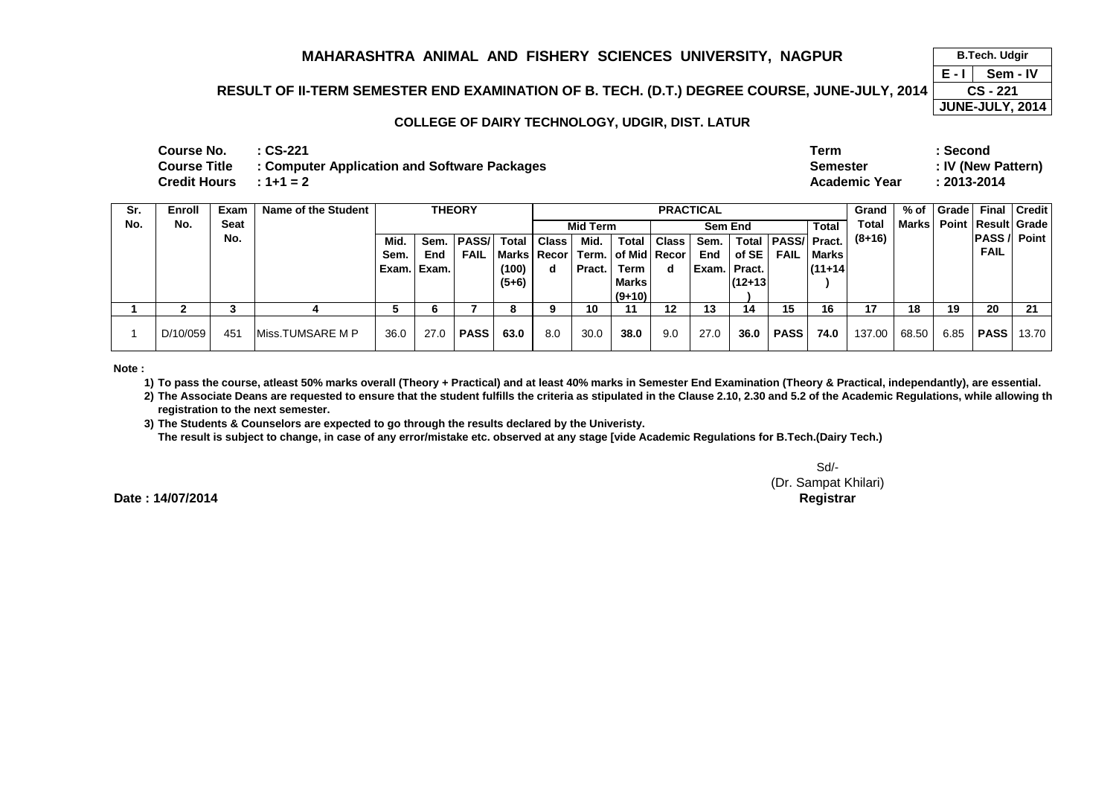# **RESULT OF II-TERM SEMESTER END EXAMINATION OF B. TECH. (D.T.) DEGREE COURSE, JUNE-JULY, 2014**

 **CS - 221 JUNE-JULY, 2014**

 **B.Tech. Udgir Sem - IV**

**E - I** 

#### **COLLEGE OF DAIRY TECHNOLOGY, UDGIR, DIST. LATUR**

| Course No.<br>Credit Hours      : 1+1 = 2 | : CS-221<br>Course Title : Computer Application and Software Packages | Term<br><b>Semester</b><br>Academic Year | : Second<br>: IV (New Pattern)<br>$: 2013 - 2014$ |
|-------------------------------------------|-----------------------------------------------------------------------|------------------------------------------|---------------------------------------------------|
|                                           |                                                                       |                                          |                                                   |

| Sr. | Enroll   | Exam | Name of the Student      |       |            | <b>THEORY</b> |         |              |          |                                        |              | <b>PRACTICAL</b> |              |                     |              | Grand    | % of  | <b>Grade</b> |                     | <b>Final   Credit  </b> |
|-----|----------|------|--------------------------|-------|------------|---------------|---------|--------------|----------|----------------------------------------|--------------|------------------|--------------|---------------------|--------------|----------|-------|--------------|---------------------|-------------------------|
| No. | No.      | Seat |                          |       |            |               |         |              | Mid Term |                                        |              |                  | Sem End      |                     | <b>Total</b> | Total    | Marks |              |                     | Point   Result   Grade  |
|     |          | No.  |                          | Mid.  | Sem.       | <b>PASS/</b>  | Total   | <b>Class</b> | Mid.     | Total                                  | <b>Class</b> | Sem.             | Total        | <b>PASS/ Pract.</b> |              | $(8+16)$ |       |              | <b>PASS / Point</b> |                         |
|     |          |      |                          | Sem.  | <b>End</b> | <b>FAIL</b>   |         |              |          | Marks   Recor   Term.   of Mid   Recor |              | End              | of SE        | <b>FAIL</b>         | <b>Marks</b> |          |       |              | <b>FAIL</b>         |                         |
|     |          |      |                          | Exam. | Exam.      |               | (100)   | d            | Pract.   | Term                                   | d            |                  | Exam. Pract. |                     | $(11+14)$    |          |       |              |                     |                         |
|     |          |      |                          |       |            |               | $(5+6)$ |              |          | <b>Marks</b>                           |              |                  | $(12+13)$    |                     |              |          |       |              |                     |                         |
|     |          |      |                          |       |            |               |         |              |          | $(9+10)$                               |              |                  |              |                     |              |          |       |              |                     |                         |
|     |          |      |                          | G     | 6          |               |         |              | 10       | 11                                     | 12           | 13               | 14           | 15                  | 16           | 17       | 18    | 19           | 20                  | 21                      |
|     | D/10/059 | 451  | <b>IMiss.TUMSARE M P</b> | 36.0  | 27.0       | <b>PASS</b>   | 63.0    | 8.0          | 30.0     | 38.0                                   | 9.0          | 27.0             | 36.0         | <b>PASS</b>         | 74.0         | 137.00   | 68.50 | 6.85         | <b>PASS</b>         | 13.70 l                 |

**Note :**

**1) To pass the course, atleast 50% marks overall (Theory + Practical) and at least 40% marks in Semester End Examination (Theory & Practical, independantly), are essential.** 

**2) The Associate Deans are requested to ensure that the student fulfills the criteria as stipulated in the Clause 2.10, 2.30 and 5.2 of the Academic Regulations, while allowing the registration to the next semester.**

 **3) The Students & Counselors are expected to go through the results declared by the Univeristy. The result is subject to change, in case of any error/mistake etc. observed at any stage [vide Academic Regulations for B.Tech.(Dairy Tech.)**

Sd/- (Dr. Sampat Khilari)**Controller of Examinations Registrar**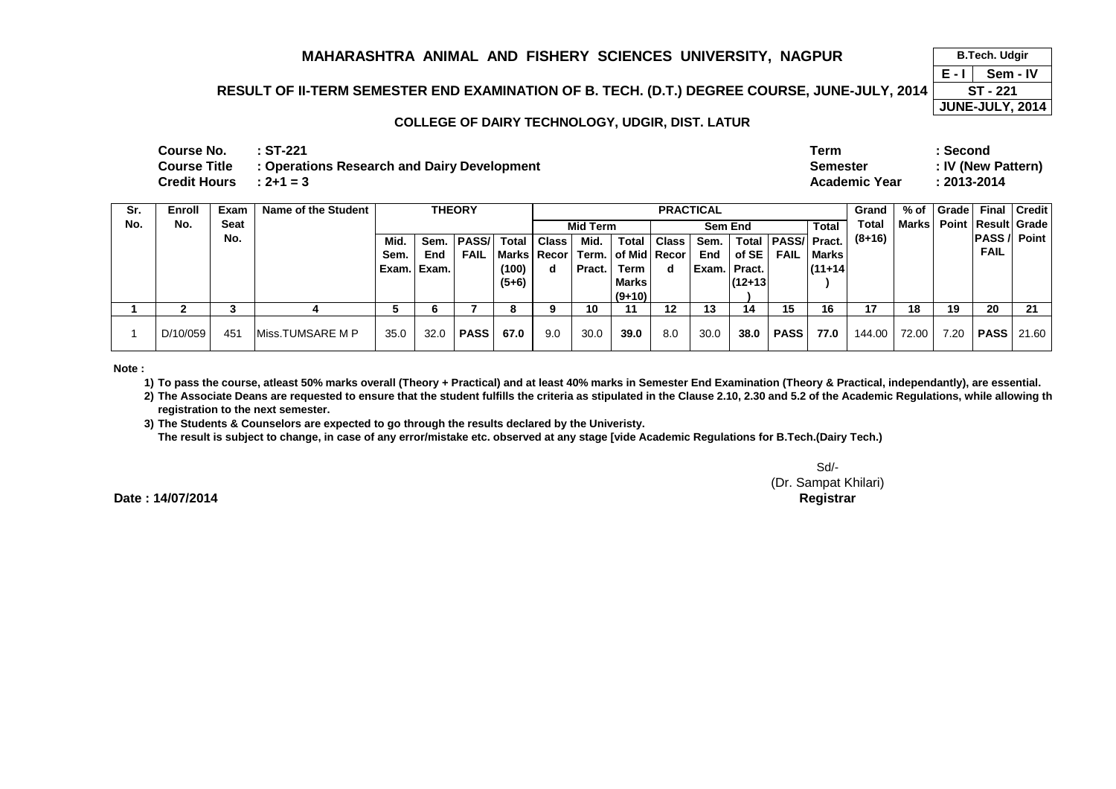# **RESULT OF II-TERM SEMESTER END EXAMINATION OF B. TECH. (D.T.) DEGREE COURSE, JUNE-JULY, 2014**

 $4 \overline{ST - 221}$ **JUNE-JULY, 2014**

 **B.Tech. Udgir Sem - IV**

**E - I** 

#### **COLLEGE OF DAIRY TECHNOLOGY, UDGIR, DIST. LATUR**

| $Credit$ Hours $\qquad: 2+1=3$<br>Academic Year<br>:2013-2014 | Course No. | :ST-221<br>Course Title : Operations Research and Dairy Development | Term<br><b>Semester</b> | : Second<br>: IV (New Pattern) |
|---------------------------------------------------------------|------------|---------------------------------------------------------------------|-------------------------|--------------------------------|
|---------------------------------------------------------------|------------|---------------------------------------------------------------------|-------------------------|--------------------------------|

| Sr. | Enroll   | Exam | Name of the Student      |           |       | <b>THEORY</b> |         |               |          |                        |       | <b>PRACTICAL</b> |              |                     |              | Grand    | % of         | Grade |             | <b>Final Credit</b>    |
|-----|----------|------|--------------------------|-----------|-------|---------------|---------|---------------|----------|------------------------|-------|------------------|--------------|---------------------|--------------|----------|--------------|-------|-------------|------------------------|
| No. | No.      | Seat |                          |           |       |               |         |               | Mid Term |                        |       |                  | Sem End      |                     | Total        | Total    | <b>Marks</b> |       |             | Point   Result   Grade |
|     |          | No.  |                          | Mid.      | Sem.  | <b>PASS/</b>  |         | Total   Class | Mid.     | <b>Total</b>           | Class | Sem.             | Total        | <b>PASS/</b> Pract. |              | $(8+16)$ |              |       |             | <b>PASS / Point</b>    |
|     |          |      |                          | Sem.      | End   | <b>FAIL</b>   |         | Marks   Recor |          | Term.   of Mid   Recor |       | End l            | of SE        | <b>FAIL</b>         | <b>Marks</b> |          |              |       | <b>FAIL</b> |                        |
|     |          |      |                          | i Exam. ' | Exam. |               | (100)   | d             | Pract.   | Term                   | d     |                  | Exam. Pract. |                     | $(11+14)$    |          |              |       |             |                        |
|     |          |      |                          |           |       |               | $(5+6)$ |               |          | <b>Marks</b>           |       |                  | $(12+13)$    |                     |              |          |              |       |             |                        |
|     |          |      |                          |           |       |               |         |               |          | $(9+10)$               |       |                  |              |                     |              |          |              |       |             |                        |
|     |          |      |                          | C         | 6     |               |         |               | 10       | 11                     | 12    | 13               | 14           | 15                  | 16           | 17       | 18           | 19    | 20          | 21                     |
|     | D/10/059 | 451  | <b>IMiss.TUMSARE M P</b> | 35.0      | 32.0  | <b>PASS</b>   | 67.0    | 9.0           | 30.0     | 39.0                   | 8.0   | 30.0             | 38.0         | <b>PASS</b>         | 77.0         | 144.00   | 72.00        | 7.20  | <b>PASS</b> | $\mid$ 21.60 $\mid$    |

**Note :**

**1) To pass the course, atleast 50% marks overall (Theory + Practical) and at least 40% marks in Semester End Examination (Theory & Practical, independantly), are essential.** 

**2) The Associate Deans are requested to ensure that the student fulfills the criteria as stipulated in the Clause 2.10, 2.30 and 5.2 of the Academic Regulations, while allowing the registration to the next semester.**

 **3) The Students & Counselors are expected to go through the results declared by the Univeristy. The result is subject to change, in case of any error/mistake etc. observed at any stage [vide Academic Regulations for B.Tech.(Dairy Tech.)**

Sd/- (Dr. Sampat Khilari)**Controller of Examinations Registrar**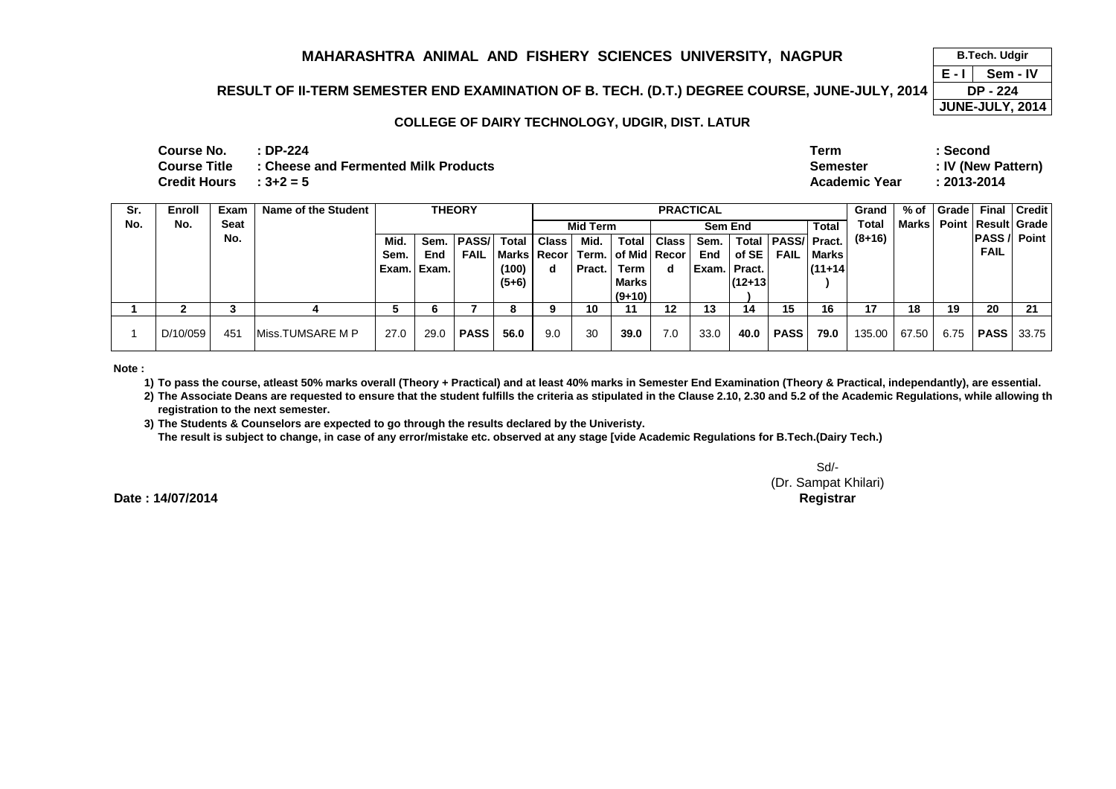# **RESULT OF II-TERM SEMESTER END EXAMINATION OF B. TECH. (D.T.) DEGREE COURSE, JUNE-JULY, 2014**

 **DP - 224 JUNE-JULY, 2014**

 **B.Tech. Udgir Sem - IV**

**E - I** 

### **COLLEGE OF DAIRY TECHNOLOGY, UDGIR, DIST. LATUR**

| Course No.             | : DP-224                                                 | <b>Term</b>          | Second             |
|------------------------|----------------------------------------------------------|----------------------|--------------------|
|                        | <b>Course Title : Cheese and Fermented Milk Products</b> | <b>Semester</b>      | : IV (New Pattern) |
| Credit Hours $: 3+2=5$ |                                                          | <b>Academic Year</b> | $: 2013 - 2014$    |

| Sr. | Enroll   | Exam | Name of the Student      |       |       | <b>THEORY</b> |         |               |                 |              | <b>PRACTICAL</b>                                   | Grand  | % of    | Grade         |           | Final Credit |              |             |             |                        |
|-----|----------|------|--------------------------|-------|-------|---------------|---------|---------------|-----------------|--------------|----------------------------------------------------|--------|---------|---------------|-----------|--------------|--------------|-------------|-------------|------------------------|
| No. | No.      | Seat |                          |       |       |               |         |               | <b>Mid Term</b> |              |                                                    |        | Sem End |               | Total     | Total        | <b>Marks</b> |             |             | Point   Result   Grade |
|     |          | No.  |                          | Mid.  | Sem.  | <b>PASS/</b>  |         | Total   Class | Mid.            | <b>Total</b> | Class                                              | Sem.   | Total   | <b>PASS/I</b> | Pract.    | $(8+16)$     |              |             |             | <b>PASS / Point</b>    |
|     |          |      |                          | Sem.  | End   | <b>FAIL</b>   |         | Marks Recor   |                 |              | FAIL<br>l Term. I of Mid I Recor I<br>of SE<br>End |        |         | Marks         |           |              |              | <b>FAIL</b> |             |                        |
|     |          |      |                          | Exam. | Exam. |               | (100)   | d             | Pract.          | Term         | d                                                  | Exam.l | Pract.  |               | $(11+14)$ |              |              |             |             |                        |
|     |          |      |                          |       |       |               | $(5+6)$ |               |                 | Marks        |                                                    |        | (12+13  |               |           |              |              |             |             |                        |
|     |          |      |                          |       |       |               |         |               |                 | $(9+10)$     |                                                    |        |         |               |           |              |              |             |             |                        |
|     |          |      |                          | C     |       |               |         | 9             | 10              |              | 12                                                 | 13     | 14      | 15            | 16        | 17           | 18           | 19          | 20          | 21                     |
|     | D/10/059 | 451  | <b>IMiss.TUMSARE M P</b> | 27.0  | 29.0  | <b>PASS</b>   | 56.0    | 9.0           | 30              | 39.0         | 7.0                                                | 33.0   | 40.0    | <b>PASS</b>   | 79.0      | 135.00       | 67.50        | 6.75        | <b>PASS</b> | 33.75                  |

**Note :**

**1) To pass the course, atleast 50% marks overall (Theory + Practical) and at least 40% marks in Semester End Examination (Theory & Practical, independantly), are essential.** 

**2) The Associate Deans are requested to ensure that the student fulfills the criteria as stipulated in the Clause 2.10, 2.30 and 5.2 of the Academic Regulations, while allowing the registration to the next semester.**

 **3) The Students & Counselors are expected to go through the results declared by the Univeristy. The result is subject to change, in case of any error/mistake etc. observed at any stage [vide Academic Regulations for B.Tech.(Dairy Tech.)**

Sd/- (Dr. Sampat Khilari)**Controller of Examinations Registrar**